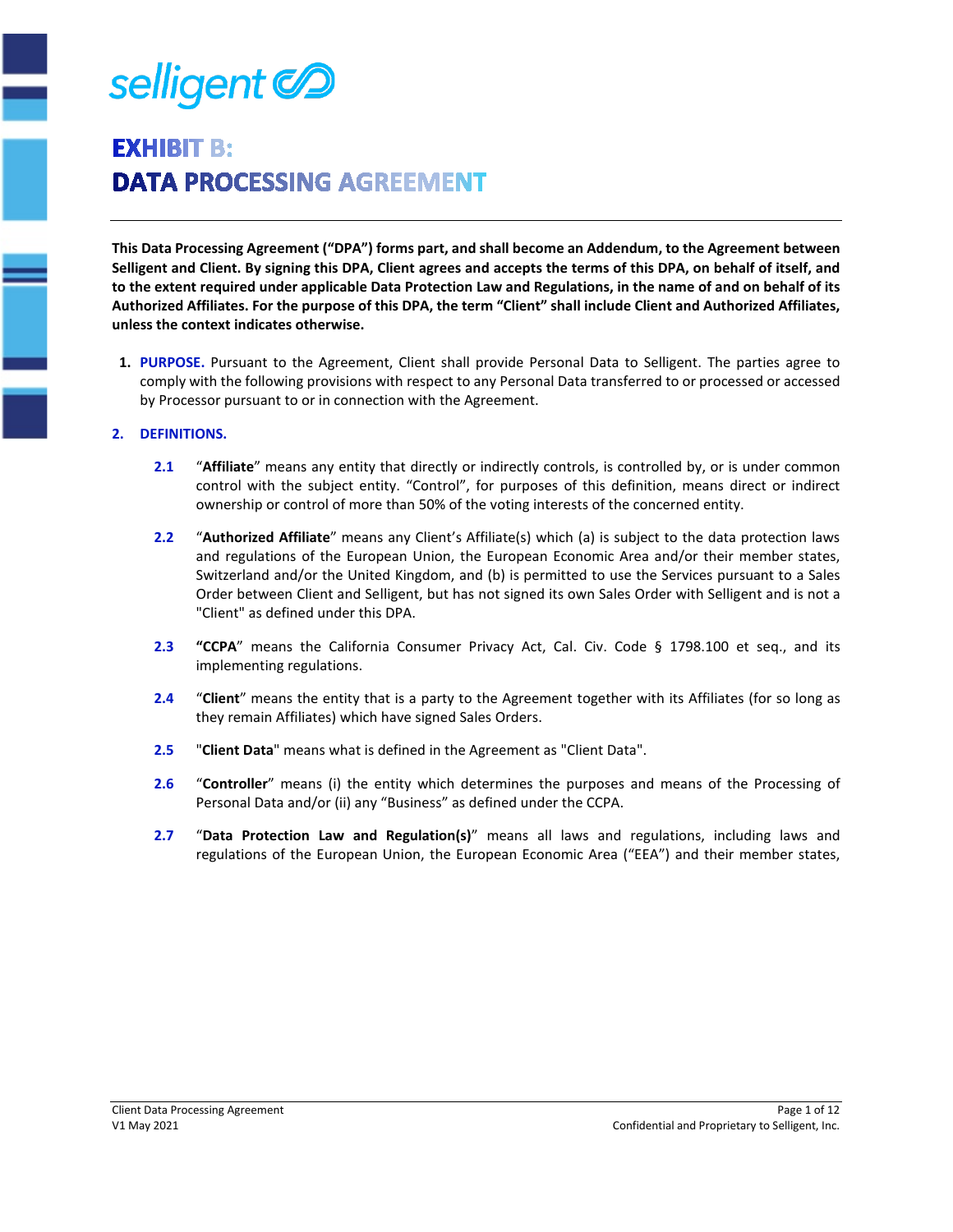

# **EXHIBIT B: DATA PROCESSING AGREEMENT**

**This Data Processing Agreement ("DPA") forms part, and shall become an Addendum, to the Agreement between Selligent and Client. By signing this DPA, Client agrees and accepts the terms of this DPA, on behalf of itself, and to the extent required under applicable Data Protection Law and Regulations, in the name of and on behalf of its Authorized Affiliates. For the purpose of this DPA, the term "Client" shall include Client and Authorized Affiliates, unless the context indicates otherwise.** 

**1. PURPOSE.** Pursuant to the Agreement, Client shall provide Personal Data to Selligent. The parties agree to comply with the following provisions with respect to any Personal Data transferred to or processed or accessed by Processor pursuant to or in connection with the Agreement.

### **2. DEFINITIONS.**

- **2.1** "**Affiliate**" means any entity that directly or indirectly controls, is controlled by, or is under common control with the subject entity. "Control", for purposes of this definition, means direct or indirect ownership or control of more than 50% of the voting interests of the concerned entity.
- **2.2** "**Authorized Affiliate**" means any Client's Affiliate(s) which (a) is subject to the data protection laws and regulations of the European Union, the European Economic Area and/or their member states, Switzerland and/or the United Kingdom, and (b) is permitted to use the Services pursuant to a Sales Order between Client and Selligent, but has not signed its own Sales Order with Selligent and is not a "Client" as defined under this DPA.
- **2.3 "CCPA**" means the California Consumer Privacy Act, Cal. Civ. Code § 1798.100 et seq., and its implementing regulations.
- **2.4** "**Client**" means the entity that is a party to the Agreement together with its Affiliates (for so long as they remain Affiliates) which have signed Sales Orders.
- **2.5** "**Client Data**" means what is defined in the Agreement as "Client Data".
- **2.6** "**Controller**" means (i) the entity which determines the purposes and means of the Processing of Personal Data and/or (ii) any "Business" as defined under the CCPA.
- **2.7** "**Data Protection Law and Regulation(s)**" means all laws and regulations, including laws and regulations of the European Union, the European Economic Area ("EEA") and their member states,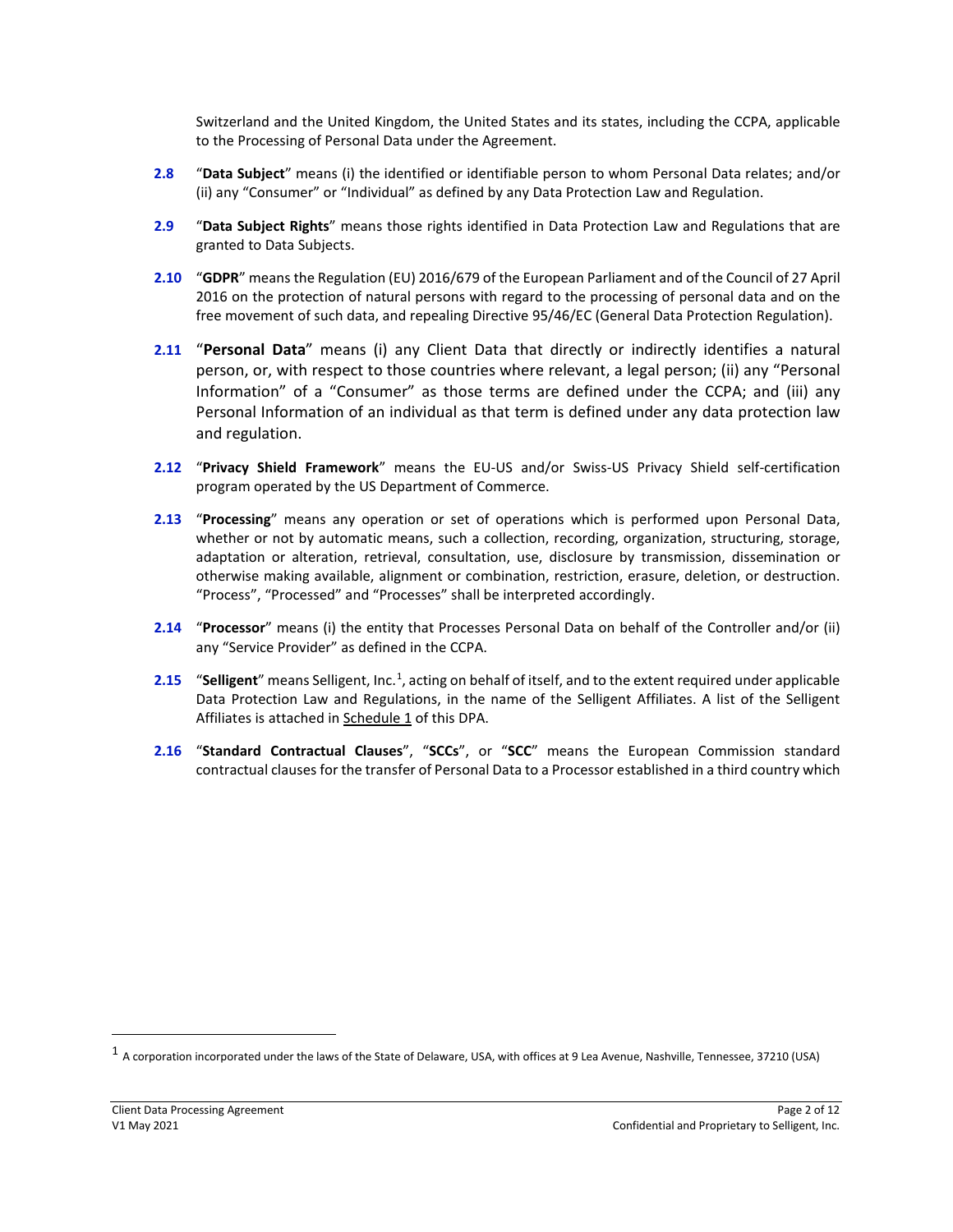Switzerland and the United Kingdom, the United States and its states, including the CCPA, applicable to the Processing of Personal Data under the Agreement.

- **2.8** "**Data Subject**" means (i) the identified or identifiable person to whom Personal Data relates; and/or (ii) any "Consumer" or "Individual" as defined by any Data Protection Law and Regulation.
- **2.9** "**Data Subject Rights**" means those rights identified in Data Protection Law and Regulations that are granted to Data Subjects.
- **2.10** "**GDPR**" means the Regulation (EU) 2016/679 of the European Parliament and of the Council of 27 April 2016 on the protection of natural persons with regard to the processing of personal data and on the free movement of such data, and repealing Directive 95/46/EC (General Data Protection Regulation).
- **2.11** "**Personal Data**" means (i) any Client Data that directly or indirectly identifies a natural person, or, with respect to those countries where relevant, a legal person; (ii) any "Personal Information" of a "Consumer" as those terms are defined under the CCPA; and (iii) any Personal Information of an individual as that term is defined under any data protection law and regulation.
- **2.12** "**Privacy Shield Framework**" means the EU-US and/or Swiss-US Privacy Shield self-certification program operated by the US Department of Commerce.
- **2.13** "**Processing**" means any operation or set of operations which is performed upon Personal Data, whether or not by automatic means, such a collection, recording, organization, structuring, storage, adaptation or alteration, retrieval, consultation, use, disclosure by transmission, dissemination or otherwise making available, alignment or combination, restriction, erasure, deletion, or destruction. "Process", "Processed" and "Processes" shall be interpreted accordingly.
- **2.14** "**Processor**" means (i) the entity that Processes Personal Data on behalf of the Controller and/or (ii) any "Service Provider" as defined in the CCPA.
- **2.[1](#page-1-0)5** "Selligent" means Selligent, Inc.<sup>1</sup>, acting on behalf of itself, and to the extent required under applicable Data Protection Law and Regulations, in the name of the Selligent Affiliates. A list of the Selligent Affiliates is attached in Schedule 1 of this DPA.
- **2.16** "**Standard Contractual Clauses**", "**SCCs**", or "**SCC**" means the European Commission standard contractual clauses for the transfer of Personal Data to a Processor established in a third country which

<span id="page-1-0"></span><sup>&</sup>lt;sup>1</sup> A corporation incorporated under the laws of the State of Delaware, USA, with offices at 9 Lea Avenue, Nashville, Tennessee, 37210 (USA)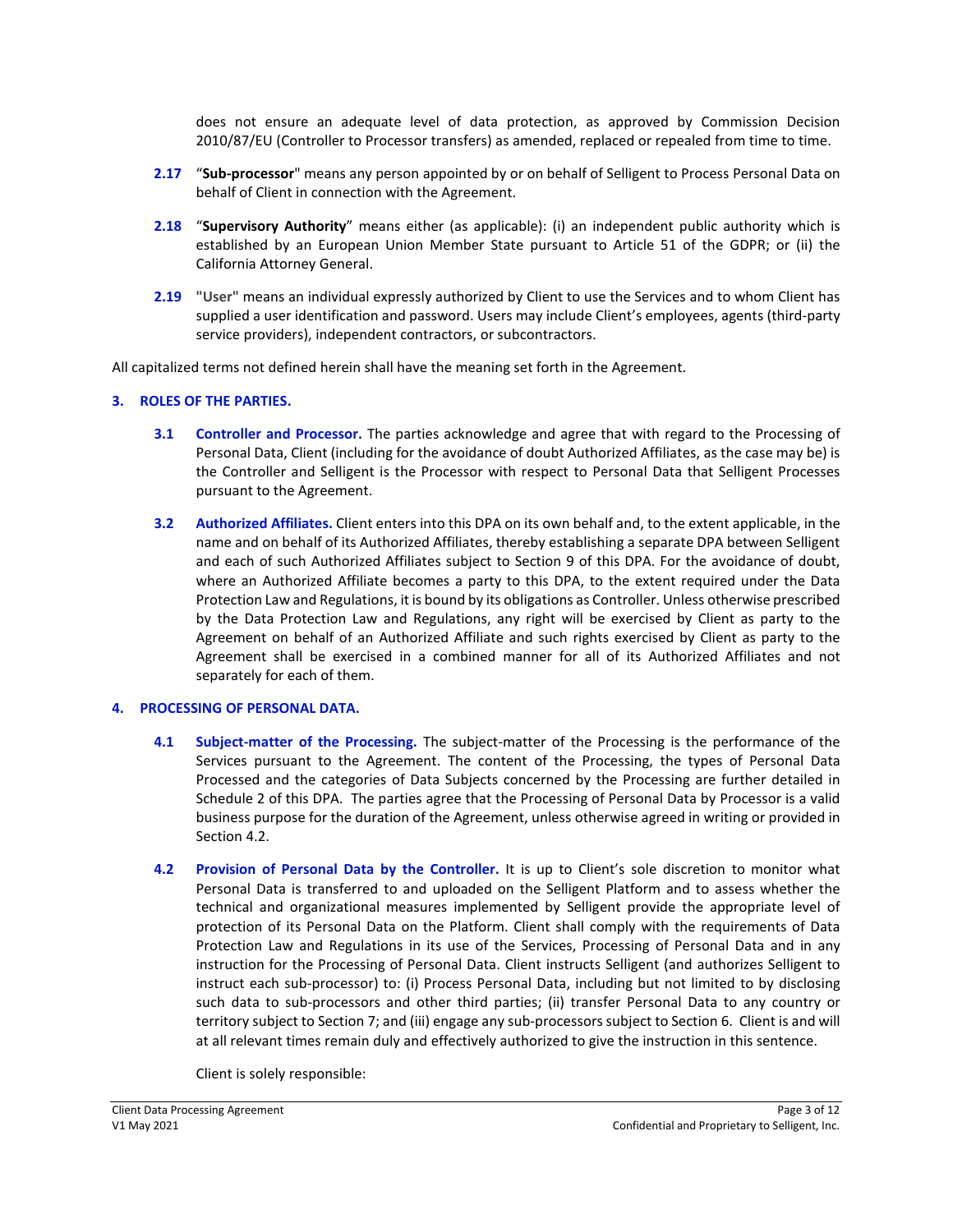does not ensure an adequate level of data protection, as approved by Commission Decision 2010/87/EU (Controller to Processor transfers) as amended, replaced or repealed from time to time.

- **2.17** "**Sub-processor**" means any person appointed by or on behalf of Selligent to Process Personal Data on behalf of Client in connection with the Agreement.
- **2.18** "**Supervisory Authority**" means either (as applicable): (i) an independent public authority which is established by an European Union Member State pursuant to Article 51 of the GDPR; or (ii) the California Attorney General.
- **2.19 "User"** means an individual expressly authorized by Client to use the Services and to whom Client has supplied a user identification and password. Users may include Client's employees, agents (third-party service providers), independent contractors, or subcontractors.

All capitalized terms not defined herein shall have the meaning set forth in the Agreement.

### **3. ROLES OF THE PARTIES.**

- **3.1 Controller and Processor.** The parties acknowledge and agree that with regard to the Processing of Personal Data, Client (including for the avoidance of doubt Authorized Affiliates, as the case may be) is the Controller and Selligent is the Processor with respect to Personal Data that Selligent Processes pursuant to the Agreement.
- **3.2 Authorized Affiliates.** Client enters into this DPA on its own behalf and, to the extent applicable, in the name and on behalf of its Authorized Affiliates, thereby establishing a separate DPA between Selligent and each of such Authorized Affiliates subject to Section 9 of this DPA. For the avoidance of doubt, where an Authorized Affiliate becomes a party to this DPA, to the extent required under the Data Protection Law and Regulations, it is bound by its obligations as Controller. Unless otherwise prescribed by the Data Protection Law and Regulations, any right will be exercised by Client as party to the Agreement on behalf of an Authorized Affiliate and such rights exercised by Client as party to the Agreement shall be exercised in a combined manner for all of its Authorized Affiliates and not separately for each of them.

#### **4. PROCESSING OF PERSONAL DATA.**

- **4.1 Subject-matter of the Processing.** The subject-matter of the Processing is the performance of the Services pursuant to the Agreement. The content of the Processing, the types of Personal Data Processed and the categories of Data Subjects concerned by the Processing are further detailed in Schedule 2 of this DPA. The parties agree that the Processing of Personal Data by Processor is a valid business purpose for the duration of the Agreement, unless otherwise agreed in writing or provided in Section 4.2.
- **4.2 Provision of Personal Data by the Controller.** It is up to Client's sole discretion to monitor what Personal Data is transferred to and uploaded on the Selligent Platform and to assess whether the technical and organizational measures implemented by Selligent provide the appropriate level of protection of its Personal Data on the Platform. Client shall comply with the requirements of Data Protection Law and Regulations in its use of the Services, Processing of Personal Data and in any instruction for the Processing of Personal Data. Client instructs Selligent (and authorizes Selligent to instruct each sub-processor) to: (i) Process Personal Data, including but not limited to by disclosing such data to sub-processors and other third parties; (ii) transfer Personal Data to any country or territory subject to Section 7; and (iii) engage any sub-processors subject to Section 6. Client is and will at all relevant times remain duly and effectively authorized to give the instruction in this sentence.

Client is solely responsible: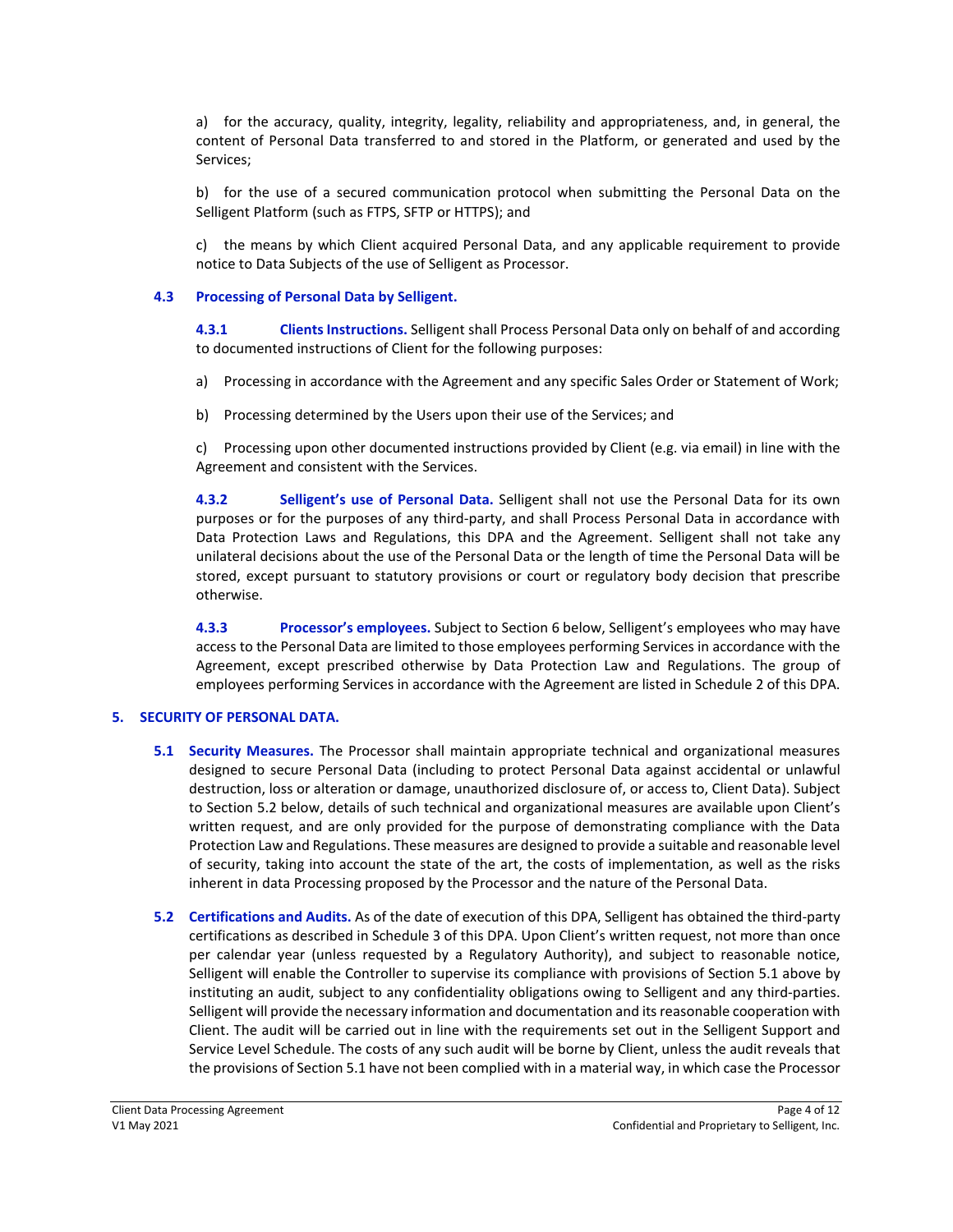a) for the accuracy, quality, integrity, legality, reliability and appropriateness, and, in general, the content of Personal Data transferred to and stored in the Platform, or generated and used by the Services;

b) for the use of a secured communication protocol when submitting the Personal Data on the Selligent Platform (such as FTPS, SFTP or HTTPS); and

c) the means by which Client acquired Personal Data, and any applicable requirement to provide notice to Data Subjects of the use of Selligent as Processor.

#### **4.3 Processing of Personal Data by Selligent.**

**4.3.1 Clients Instructions.** Selligent shall Process Personal Data only on behalf of and according to documented instructions of Client for the following purposes:

- a) Processing in accordance with the Agreement and any specific Sales Order or Statement of Work;
- b) Processing determined by the Users upon their use of the Services; and

c) Processing upon other documented instructions provided by Client (e.g. via email) in line with the Agreement and consistent with the Services.

**4.3.2 Selligent's use of Personal Data.** Selligent shall not use the Personal Data for its own purposes or for the purposes of any third-party, and shall Process Personal Data in accordance with Data Protection Laws and Regulations, this DPA and the Agreement. Selligent shall not take any unilateral decisions about the use of the Personal Data or the length of time the Personal Data will be stored, except pursuant to statutory provisions or court or regulatory body decision that prescribe otherwise.

**4.3.3 Processor's employees.** Subject to Section 6 below, Selligent's employees who may have access to the Personal Data are limited to those employees performing Services in accordance with the Agreement, except prescribed otherwise by Data Protection Law and Regulations. The group of employees performing Services in accordance with the Agreement are listed in Schedule 2 of this DPA.

### **5. SECURITY OF PERSONAL DATA.**

- **5.1 Security Measures.** The Processor shall maintain appropriate technical and organizational measures designed to secure Personal Data (including to protect Personal Data against accidental or unlawful destruction, loss or alteration or damage, unauthorized disclosure of, or access to, Client Data). Subject to Section 5.2 below, details of such technical and organizational measures are available upon Client's written request, and are only provided for the purpose of demonstrating compliance with the Data Protection Law and Regulations. These measures are designed to provide a suitable and reasonable level of security, taking into account the state of the art, the costs of implementation, as well as the risks inherent in data Processing proposed by the Processor and the nature of the Personal Data.
- **5.2 Certifications and Audits.** As of the date of execution of this DPA, Selligent has obtained the third-party certifications as described in Schedule 3 of this DPA. Upon Client's written request, not more than once per calendar year (unless requested by a Regulatory Authority), and subject to reasonable notice, Selligent will enable the Controller to supervise its compliance with provisions of Section 5.1 above by instituting an audit, subject to any confidentiality obligations owing to Selligent and any third-parties. Selligent will provide the necessary information and documentation and its reasonable cooperation with Client. The audit will be carried out in line with the requirements set out in the Selligent Support and Service Level Schedule. The costs of any such audit will be borne by Client, unless the audit reveals that the provisions of Section 5.1 have not been complied with in a material way, in which case the Processor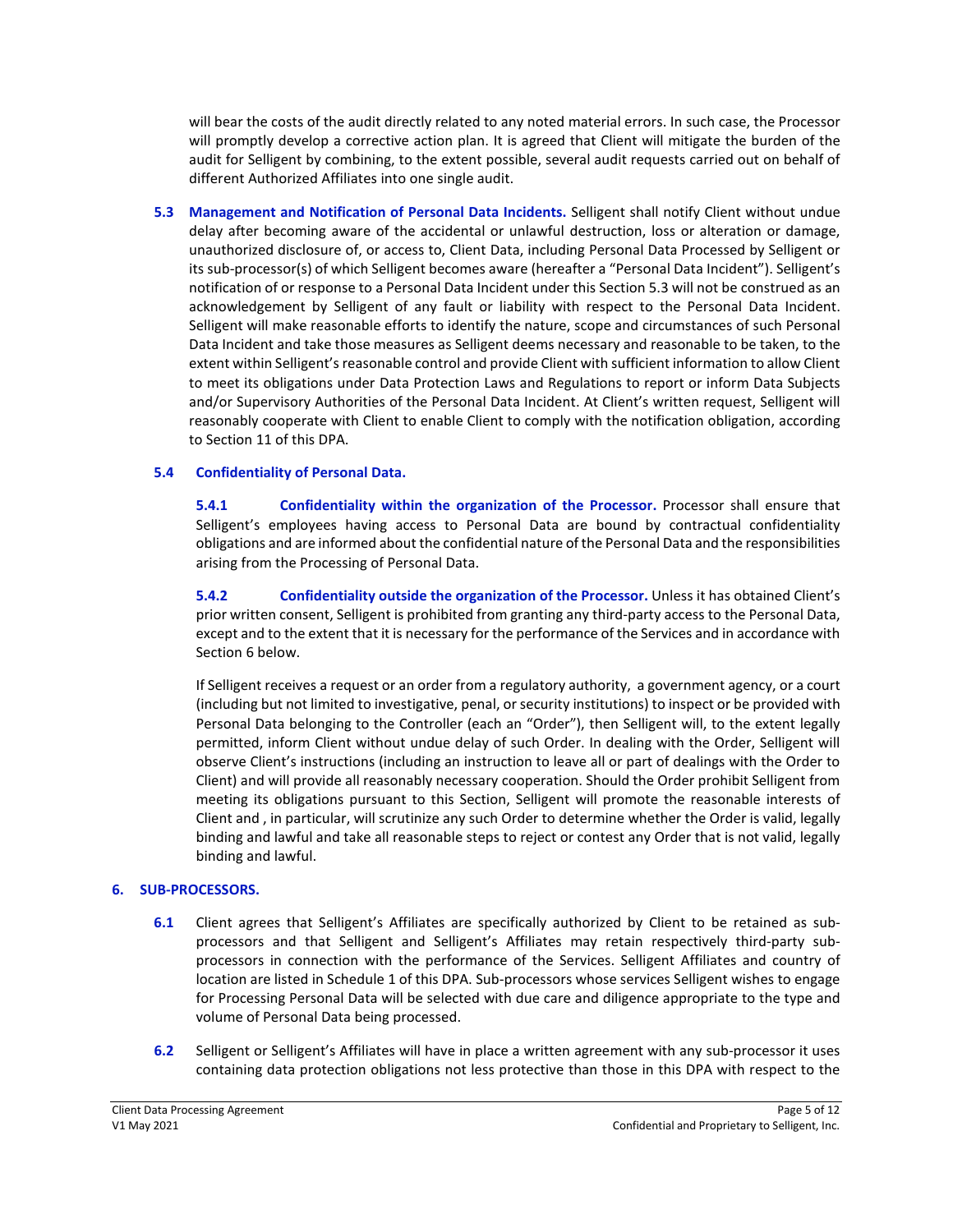will bear the costs of the audit directly related to any noted material errors. In such case, the Processor will promptly develop a corrective action plan. It is agreed that Client will mitigate the burden of the audit for Selligent by combining, to the extent possible, several audit requests carried out on behalf of different Authorized Affiliates into one single audit.

**5.3 Management and Notification of Personal Data Incidents.** Selligent shall notify Client without undue delay after becoming aware of the accidental or unlawful destruction, loss or alteration or damage, unauthorized disclosure of, or access to, Client Data, including Personal Data Processed by Selligent or its sub-processor(s) of which Selligent becomes aware (hereafter a "Personal Data Incident"). Selligent's notification of or response to a Personal Data Incident under this Section 5.3 will not be construed as an acknowledgement by Selligent of any fault or liability with respect to the Personal Data Incident. Selligent will make reasonable efforts to identify the nature, scope and circumstances of such Personal Data Incident and take those measures as Selligent deems necessary and reasonable to be taken, to the extent within Selligent's reasonable control and provide Client with sufficient information to allow Client to meet its obligations under Data Protection Laws and Regulations to report or inform Data Subjects and/or Supervisory Authorities of the Personal Data Incident. At Client's written request, Selligent will reasonably cooperate with Client to enable Client to comply with the notification obligation, according to Section 11 of this DPA.

# **5.4 Confidentiality of Personal Data.**

**5.4.1 Confidentiality within the organization of the Processor.** Processor shall ensure that Selligent's employees having access to Personal Data are bound by contractual confidentiality obligations and are informed about the confidential nature of the Personal Data and the responsibilities arising from the Processing of Personal Data.

**5.4.2 Confidentiality outside the organization of the Processor.** Unless it has obtained Client's prior written consent, Selligent is prohibited from granting any third-party access to the Personal Data, except and to the extent that it is necessary for the performance of the Services and in accordance with Section 6 below.

If Selligent receives a request or an order from a regulatory authority, a government agency, or a court (including but not limited to investigative, penal, or security institutions) to inspect or be provided with Personal Data belonging to the Controller (each an "Order"), then Selligent will, to the extent legally permitted, inform Client without undue delay of such Order. In dealing with the Order, Selligent will observe Client's instructions (including an instruction to leave all or part of dealings with the Order to Client) and will provide all reasonably necessary cooperation. Should the Order prohibit Selligent from meeting its obligations pursuant to this Section, Selligent will promote the reasonable interests of Client and , in particular, will scrutinize any such Order to determine whether the Order is valid, legally binding and lawful and take all reasonable steps to reject or contest any Order that is not valid, legally binding and lawful.

### **6. SUB-PROCESSORS.**

- **6.1** Client agrees that Selligent's Affiliates are specifically authorized by Client to be retained as subprocessors and that Selligent and Selligent's Affiliates may retain respectively third-party subprocessors in connection with the performance of the Services. Selligent Affiliates and country of location are listed in Schedule 1 of this DPA. Sub-processors whose services Selligent wishes to engage for Processing Personal Data will be selected with due care and diligence appropriate to the type and volume of Personal Data being processed.
- **6.2** Selligent or Selligent's Affiliates will have in place a written agreement with any sub-processor it uses containing data protection obligations not less protective than those in this DPA with respect to the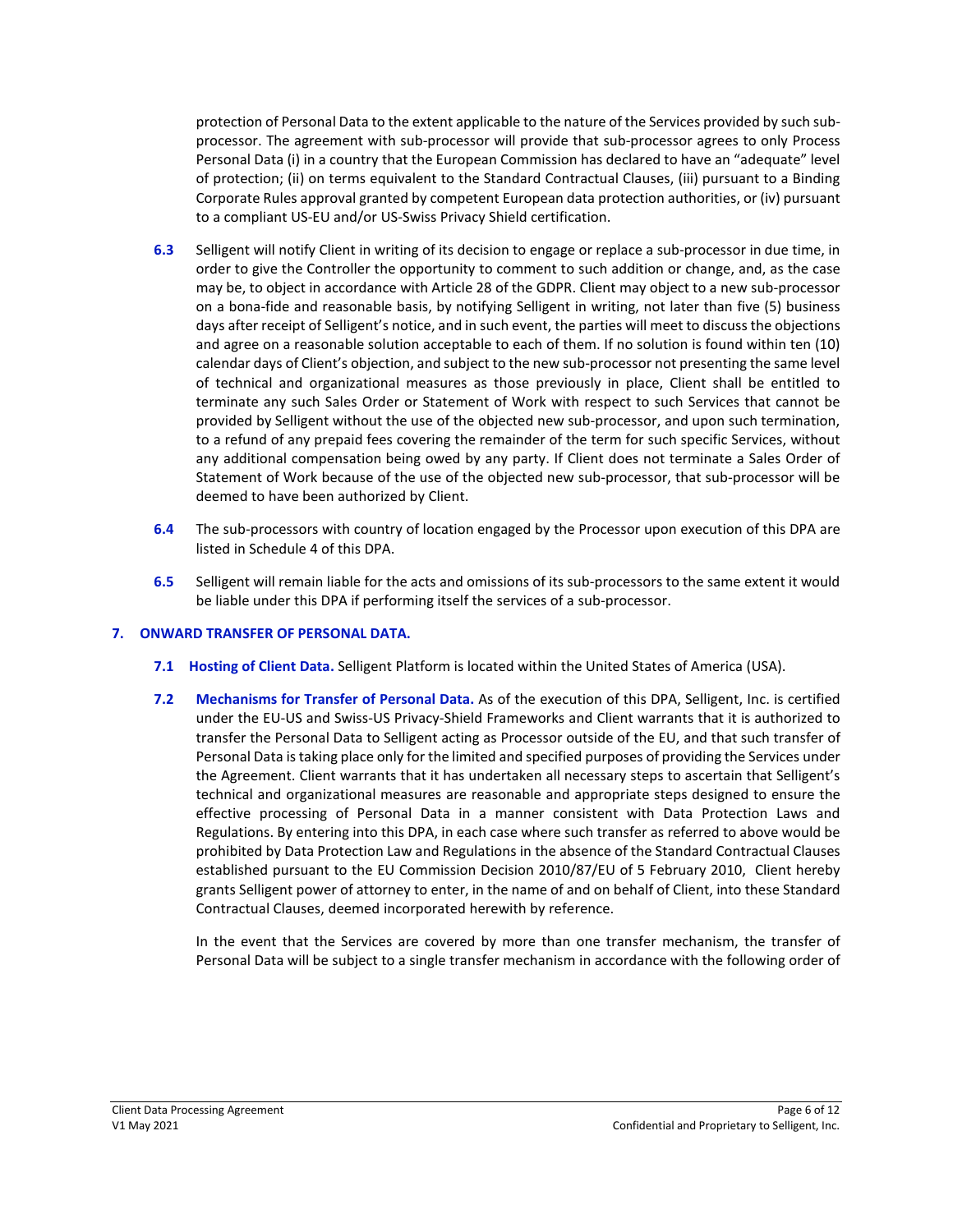protection of Personal Data to the extent applicable to the nature of the Services provided by such subprocessor. The agreement with sub-processor will provide that sub-processor agrees to only Process Personal Data (i) in a country that the European Commission has declared to have an "adequate" level of protection; (ii) on terms equivalent to the Standard Contractual Clauses, (iii) pursuant to a Binding Corporate Rules approval granted by competent European data protection authorities, or (iv) pursuant to a compliant US-EU and/or US-Swiss Privacy Shield certification.

- **6.3** Selligent will notify Client in writing of its decision to engage or replace a sub-processor in due time, in order to give the Controller the opportunity to comment to such addition or change, and, as the case may be, to object in accordance with Article 28 of the GDPR. Client may object to a new sub-processor on a bona-fide and reasonable basis, by notifying Selligent in writing, not later than five (5) business days after receipt of Selligent's notice, and in such event, the parties will meet to discuss the objections and agree on a reasonable solution acceptable to each of them. If no solution is found within ten (10) calendar days of Client's objection, and subject to the new sub-processor not presenting the same level of technical and organizational measures as those previously in place, Client shall be entitled to terminate any such Sales Order or Statement of Work with respect to such Services that cannot be provided by Selligent without the use of the objected new sub-processor, and upon such termination, to a refund of any prepaid fees covering the remainder of the term for such specific Services, without any additional compensation being owed by any party. If Client does not terminate a Sales Order of Statement of Work because of the use of the objected new sub-processor, that sub-processor will be deemed to have been authorized by Client.
- **6.4** The sub-processors with country of location engaged by the Processor upon execution of this DPA are listed in Schedule 4 of this DPA.
- **6.5** Selligent will remain liable for the acts and omissions of its sub-processors to the same extent it would be liable under this DPA if performing itself the services of a sub-processor.

### **7. ONWARD TRANSFER OF PERSONAL DATA.**

- **7.1 Hosting of Client Data.** Selligent Platform is located within the United States of America (USA).
- **7.2 Mechanisms for Transfer of Personal Data.** As of the execution of this DPA, Selligent, Inc. is certified under the EU-US and Swiss-US Privacy-Shield Frameworks and Client warrants that it is authorized to transfer the Personal Data to Selligent acting as Processor outside of the EU, and that such transfer of Personal Data is taking place only for the limited and specified purposes of providing the Services under the Agreement. Client warrants that it has undertaken all necessary steps to ascertain that Selligent's technical and organizational measures are reasonable and appropriate steps designed to ensure the effective processing of Personal Data in a manner consistent with Data Protection Laws and Regulations. By entering into this DPA, in each case where such transfer as referred to above would be prohibited by Data Protection Law and Regulations in the absence of the Standard Contractual Clauses established pursuant to the EU Commission Decision 2010/87/EU of 5 February 2010, Client hereby grants Selligent power of attorney to enter, in the name of and on behalf of Client, into these Standard Contractual Clauses, deemed incorporated herewith by reference.

In the event that the Services are covered by more than one transfer mechanism, the transfer of Personal Data will be subject to a single transfer mechanism in accordance with the following order of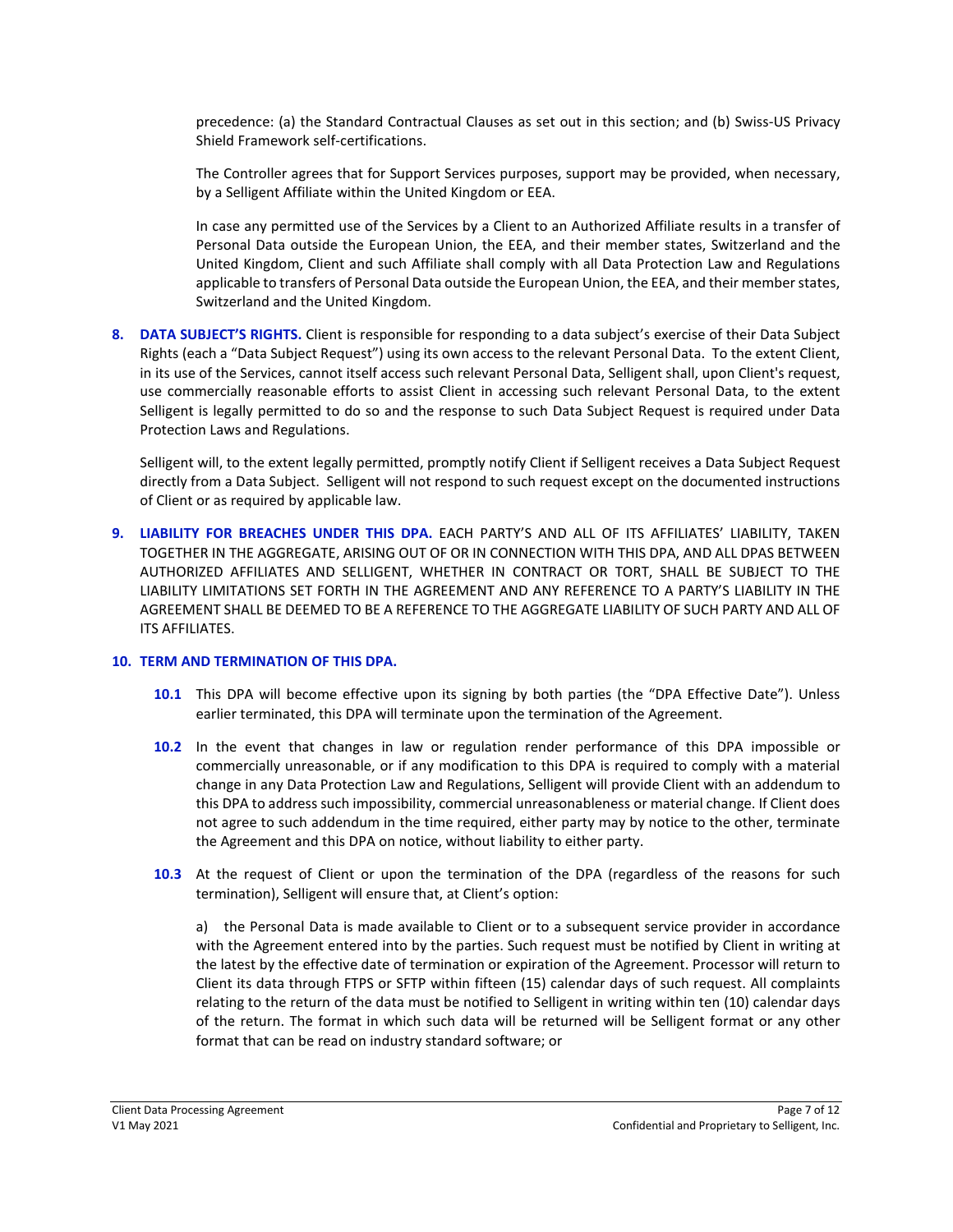precedence: (a) the Standard Contractual Clauses as set out in this section; and (b) Swiss-US Privacy Shield Framework self-certifications.

The Controller agrees that for Support Services purposes, support may be provided, when necessary, by a Selligent Affiliate within the United Kingdom or EEA.

In case any permitted use of the Services by a Client to an Authorized Affiliate results in a transfer of Personal Data outside the European Union, the EEA, and their member states, Switzerland and the United Kingdom, Client and such Affiliate shall comply with all Data Protection Law and Regulations applicable to transfers of Personal Data outside the European Union, the EEA, and their member states, Switzerland and the United Kingdom.

**8. DATA SUBJECT'S RIGHTS.** Client is responsible for responding to a data subject's exercise of their Data Subject Rights (each a "Data Subject Request") using its own access to the relevant Personal Data. To the extent Client, in its use of the Services, cannot itself access such relevant Personal Data, Selligent shall, upon Client's request, use commercially reasonable efforts to assist Client in accessing such relevant Personal Data, to the extent Selligent is legally permitted to do so and the response to such Data Subject Request is required under Data Protection Laws and Regulations.

Selligent will, to the extent legally permitted, promptly notify Client if Selligent receives a Data Subject Request directly from a Data Subject. Selligent will not respond to such request except on the documented instructions of Client or as required by applicable law.

**9. LIABILITY FOR BREACHES UNDER THIS DPA.** EACH PARTY'S AND ALL OF ITS AFFILIATES' LIABILITY, TAKEN TOGETHER IN THE AGGREGATE, ARISING OUT OF OR IN CONNECTION WITH THIS DPA, AND ALL DPAS BETWEEN AUTHORIZED AFFILIATES AND SELLIGENT, WHETHER IN CONTRACT OR TORT, SHALL BE SUBJECT TO THE LIABILITY LIMITATIONS SET FORTH IN THE AGREEMENT AND ANY REFERENCE TO A PARTY'S LIABILITY IN THE AGREEMENT SHALL BE DEEMED TO BE A REFERENCE TO THE AGGREGATE LIABILITY OF SUCH PARTY AND ALL OF ITS AFFILIATES.

### **10. TERM AND TERMINATION OF THIS DPA.**

- **10.1** This DPA will become effective upon its signing by both parties (the "DPA Effective Date"). Unless earlier terminated, this DPA will terminate upon the termination of the Agreement.
- **10.2** In the event that changes in law or regulation render performance of this DPA impossible or commercially unreasonable, or if any modification to this DPA is required to comply with a material change in any Data Protection Law and Regulations, Selligent will provide Client with an addendum to this DPA to address such impossibility, commercial unreasonableness or material change. If Client does not agree to such addendum in the time required, either party may by notice to the other, terminate the Agreement and this DPA on notice, without liability to either party.
- **10.3** At the request of Client or upon the termination of the DPA (regardless of the reasons for such termination), Selligent will ensure that, at Client's option:

a) the Personal Data is made available to Client or to a subsequent service provider in accordance with the Agreement entered into by the parties. Such request must be notified by Client in writing at the latest by the effective date of termination or expiration of the Agreement. Processor will return to Client its data through FTPS or SFTP within fifteen (15) calendar days of such request. All complaints relating to the return of the data must be notified to Selligent in writing within ten (10) calendar days of the return. The format in which such data will be returned will be Selligent format or any other format that can be read on industry standard software; or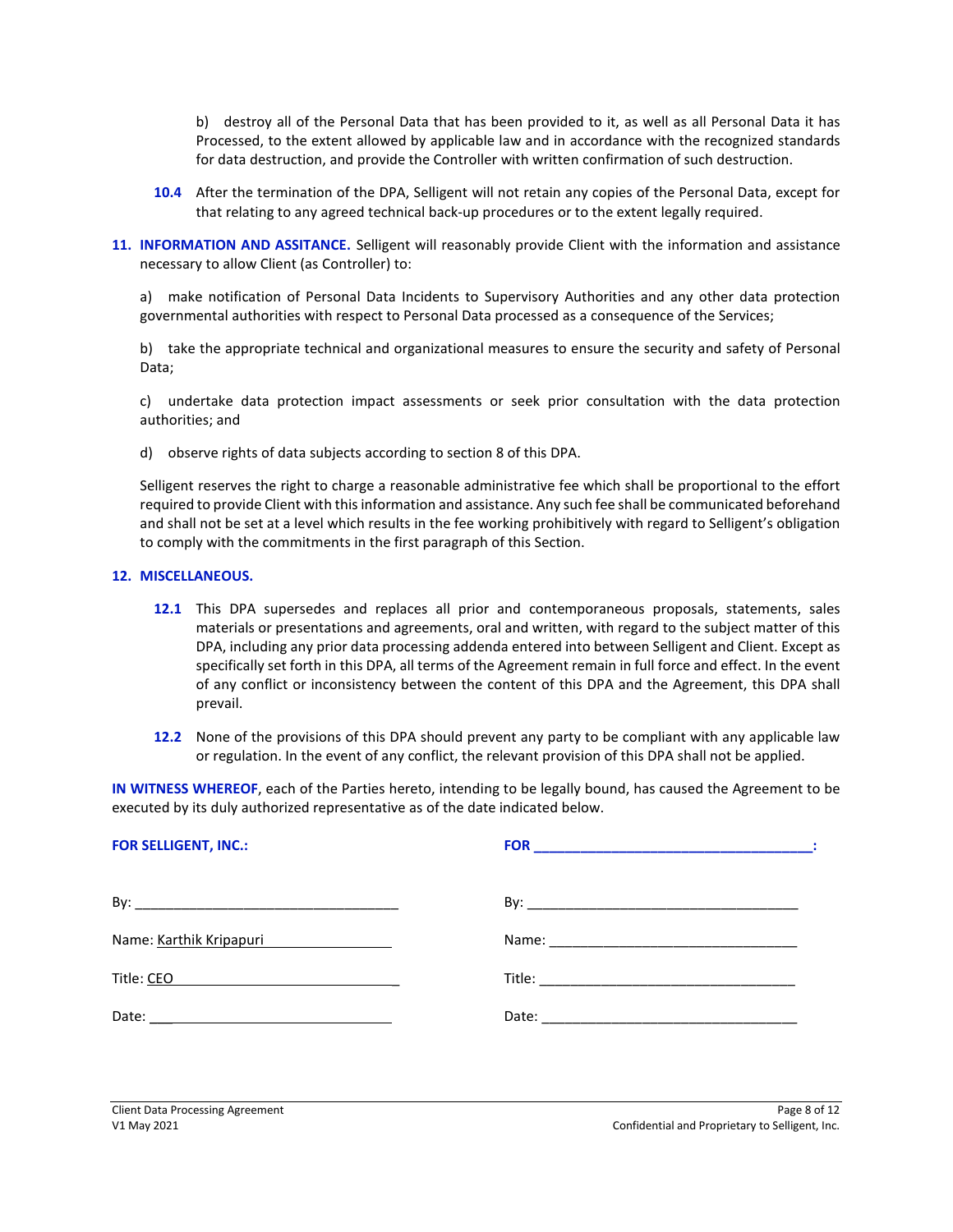b) destroy all of the Personal Data that has been provided to it, as well as all Personal Data it has Processed, to the extent allowed by applicable law and in accordance with the recognized standards for data destruction, and provide the Controller with written confirmation of such destruction.

- **10.4** After the termination of the DPA, Selligent will not retain any copies of the Personal Data, except for that relating to any agreed technical back-up procedures or to the extent legally required.
- **11. INFORMATION AND ASSITANCE.** Selligent will reasonably provide Client with the information and assistance necessary to allow Client (as Controller) to:

a) make notification of Personal Data Incidents to Supervisory Authorities and any other data protection governmental authorities with respect to Personal Data processed as a consequence of the Services;

b) take the appropriate technical and organizational measures to ensure the security and safety of Personal Data;

c) undertake data protection impact assessments or seek prior consultation with the data protection authorities; and

d) observe rights of data subjects according to section 8 of this DPA.

Selligent reserves the right to charge a reasonable administrative fee which shall be proportional to the effort required to provide Client with this information and assistance. Any such fee shall be communicated beforehand and shall not be set at a level which results in the fee working prohibitively with regard to Selligent's obligation to comply with the commitments in the first paragraph of this Section.

#### **12. MISCELLANEOUS.**

- **12.1** This DPA supersedes and replaces all prior and contemporaneous proposals, statements, sales materials or presentations and agreements, oral and written, with regard to the subject matter of this DPA, including any prior data processing addenda entered into between Selligent and Client. Except as specifically set forth in this DPA, all terms of the Agreement remain in full force and effect. In the event of any conflict or inconsistency between the content of this DPA and the Agreement, this DPA shall prevail.
- **12.2** None of the provisions of this DPA should prevent any party to be compliant with any applicable law or regulation. In the event of any conflict, the relevant provision of this DPA shall not be applied.

**IN WITNESS WHEREOF**, each of the Parties hereto, intending to be legally bound, has caused the Agreement to be executed by its duly authorized representative as of the date indicated below.

| <b>FOR SELLIGENT, INC.:</b> |  |
|-----------------------------|--|
|                             |  |
| Name: Karthik Kripapuri     |  |
| Title: CEO                  |  |
|                             |  |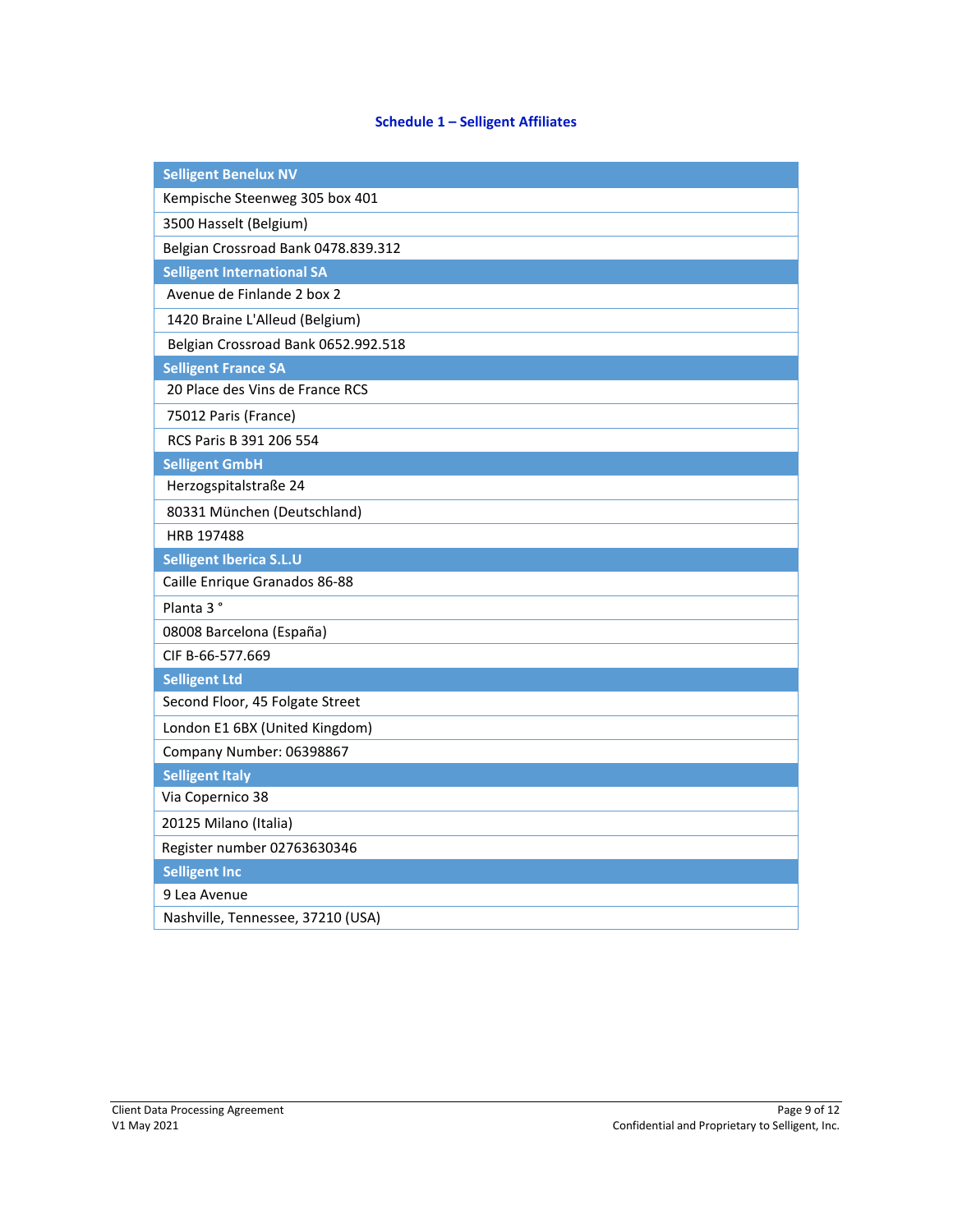# **Schedule 1 – Selligent Affiliates**

| <b>Selligent Benelux NV</b>                       |
|---------------------------------------------------|
| Kempische Steenweg 305 box 401                    |
| 3500 Hasselt (Belgium)                            |
| Belgian Crossroad Bank 0478.839.312               |
| <b>Selligent International SA</b>                 |
| Avenue de Finlande 2 box 2                        |
| 1420 Braine L'Alleud (Belgium)                    |
| Belgian Crossroad Bank 0652.992.518               |
| <b>Selligent France SA</b>                        |
| 20 Place des Vins de France RCS                   |
| 75012 Paris (France)                              |
| RCS Paris B 391 206 554                           |
| <b>Selligent GmbH</b>                             |
| Herzogspitalstraße 24                             |
| 80331 München (Deutschland)                       |
| HRB 197488                                        |
|                                                   |
| Selligent Iberica S.L.U                           |
| Caille Enrique Granados 86-88                     |
| Planta 3°                                         |
| 08008 Barcelona (España)                          |
| CIF B-66-577.669                                  |
| <b>Selligent Ltd</b>                              |
| Second Floor, 45 Folgate Street                   |
| London E1 6BX (United Kingdom)                    |
| Company Number: 06398867                          |
| <b>Selligent Italy</b>                            |
| Via Copernico 38                                  |
| 20125 Milano (Italia)                             |
| Register number 02763630346                       |
| <b>Selligent Inc</b>                              |
| 9 Lea Avenue<br>Nashville, Tennessee, 37210 (USA) |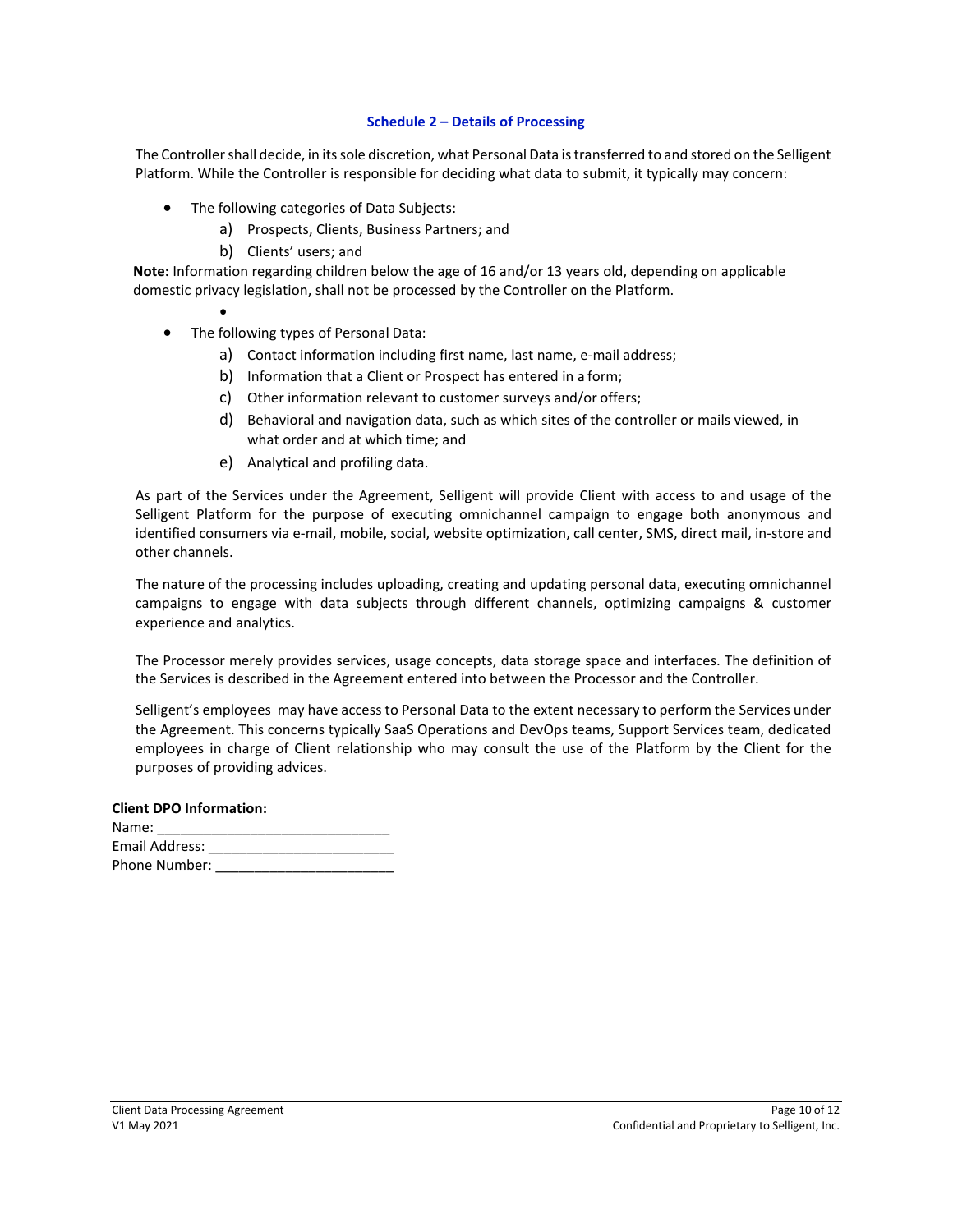#### **Schedule 2 – Details of Processing**

The Controller shall decide, in its sole discretion, what Personal Data is transferred to and stored on the Selligent Platform. While the Controller is responsible for deciding what data to submit, it typically may concern:

- The following categories of Data Subjects:
	- a) Prospects, Clients, Business Partners; and
	- b) Clients' users; and

**Note:** Information regarding children below the age of 16 and/or 13 years old, depending on applicable domestic privacy legislation, shall not be processed by the Controller on the Platform.

- •
- The following types of Personal Data:
	- a) Contact information including first name, last name, e-mail address;
	- b) Information that a Client or Prospect has entered in a form;
	- c) Other information relevant to customer surveys and/or offers;
	- d) Behavioral and navigation data, such as which sites of the controller or mails viewed, in what order and at which time; and
	- e) Analytical and profiling data.

As part of the Services under the Agreement, Selligent will provide Client with access to and usage of the Selligent Platform for the purpose of executing omnichannel campaign to engage both anonymous and identified consumers via e-mail, mobile, social, website optimization, call center, SMS, direct mail, in-store and other channels.

The nature of the processing includes uploading, creating and updating personal data, executing omnichannel campaigns to engage with data subjects through different channels, optimizing campaigns & customer experience and analytics.

The Processor merely provides services, usage concepts, data storage space and interfaces. The definition of the Services is described in the Agreement entered into between the Processor and the Controller.

Selligent's employees may have access to Personal Data to the extent necessary to perform the Services under the Agreement. This concerns typically SaaS Operations and DevOps teams, Support Services team, dedicated employees in charge of Client relationship who may consult the use of the Platform by the Client for the purposes of providing advices.

#### **Client DPO Information:**

| Name:          |  |
|----------------|--|
| Email Address: |  |
| Phone Number:  |  |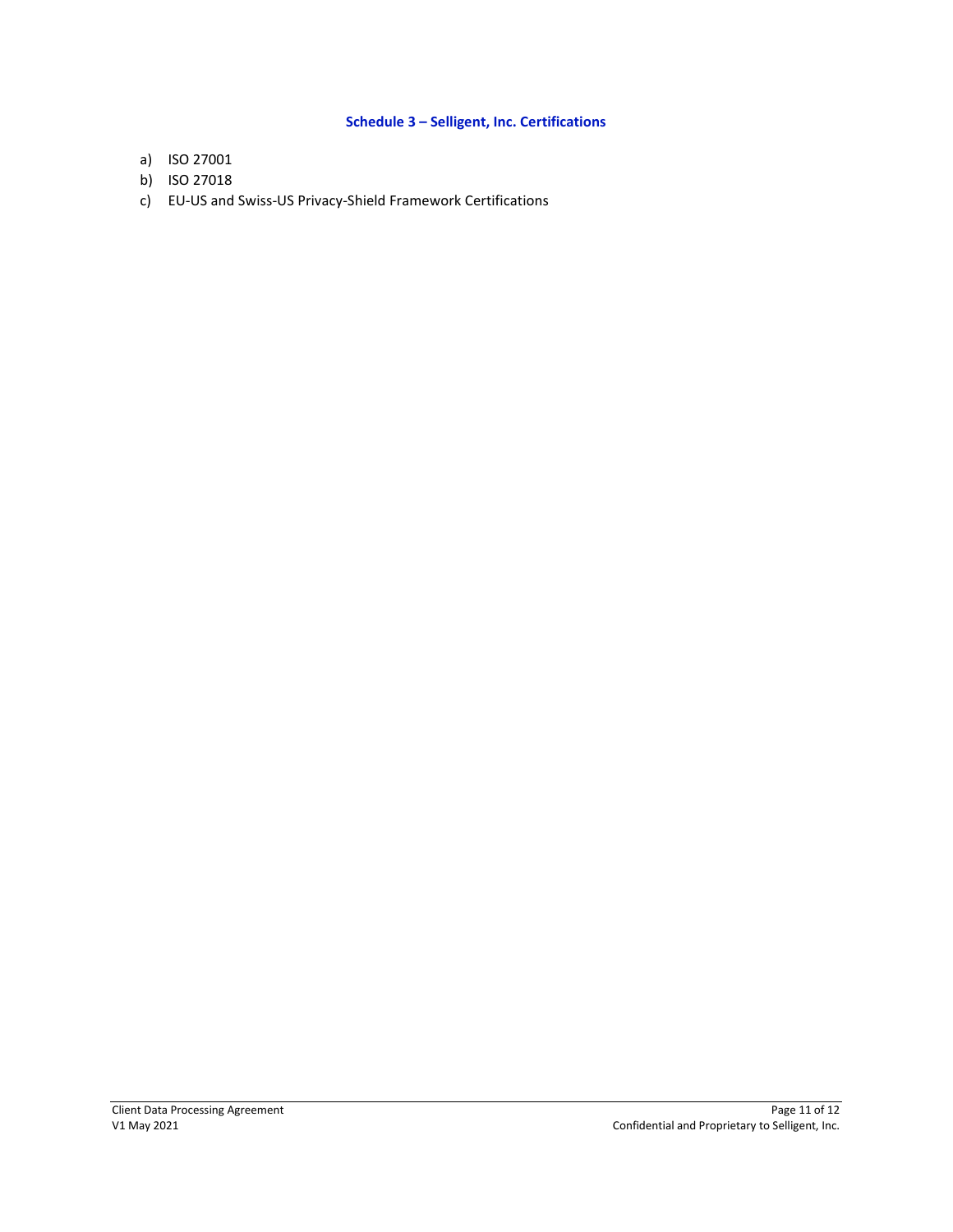# **Schedule 3 – Selligent, Inc. Certifications**

- a) ISO 27001
- b) ISO 27018
- c) EU-US and Swiss-US Privacy-Shield Framework Certifications